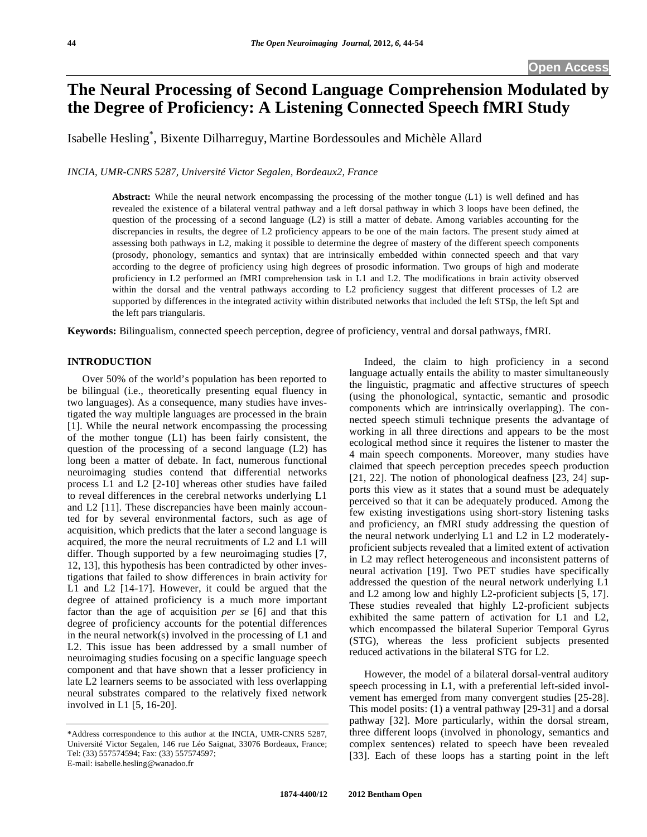# **The Neural Processing of Second Language Comprehension Modulated by the Degree of Proficiency: A Listening Connected Speech fMRI Study**

Isabelle Hesling\* , Bixente Dilharreguy, Martine Bordessoules and Michèle Allard

*INCIA, UMR-CNRS 5287, Université Victor Segalen, Bordeaux2, France* 

**Abstract:** While the neural network encompassing the processing of the mother tongue (L1) is well defined and has revealed the existence of a bilateral ventral pathway and a left dorsal pathway in which 3 loops have been defined, the question of the processing of a second language (L2) is still a matter of debate. Among variables accounting for the discrepancies in results, the degree of L2 proficiency appears to be one of the main factors. The present study aimed at assessing both pathways in L2, making it possible to determine the degree of mastery of the different speech components (prosody, phonology, semantics and syntax) that are intrinsically embedded within connected speech and that vary according to the degree of proficiency using high degrees of prosodic information. Two groups of high and moderate proficiency in L2 performed an fMRI comprehension task in L1 and L2. The modifications in brain activity observed within the dorsal and the ventral pathways according to L2 proficiency suggest that different processes of L2 are supported by differences in the integrated activity within distributed networks that included the left STSp, the left Spt and the left pars triangularis.

**Keywords:** Bilingualism, connected speech perception, degree of proficiency, ventral and dorsal pathways, fMRI.

# **INTRODUCTION**

 Over 50% of the world's population has been reported to be bilingual (i.e., theoretically presenting equal fluency in two languages). As a consequence, many studies have investigated the way multiple languages are processed in the brain [1]. While the neural network encompassing the processing of the mother tongue (L1) has been fairly consistent, the question of the processing of a second language (L2) has long been a matter of debate. In fact, numerous functional neuroimaging studies contend that differential networks process L1 and L2 [2-10] whereas other studies have failed to reveal differences in the cerebral networks underlying L1 and L2 [11]. These discrepancies have been mainly accounted for by several environmental factors, such as age of acquisition, which predicts that the later a second language is acquired, the more the neural recruitments of L2 and L1 will differ. Though supported by a few neuroimaging studies [7, 12, 13], this hypothesis has been contradicted by other investigations that failed to show differences in brain activity for L1 and L2 [14-17]. However, it could be argued that the degree of attained proficiency is a much more important factor than the age of acquisition *per se* [6] and that this degree of proficiency accounts for the potential differences in the neural network $(s)$  involved in the processing of  $L1$  and L2. This issue has been addressed by a small number of neuroimaging studies focusing on a specific language speech component and that have shown that a lesser proficiency in late L2 learners seems to be associated with less overlapping neural substrates compared to the relatively fixed network involved in L1 [5, 16-20].

 Indeed, the claim to high proficiency in a second language actually entails the ability to master simultaneously the linguistic, pragmatic and affective structures of speech (using the phonological, syntactic, semantic and prosodic components which are intrinsically overlapping). The connected speech stimuli technique presents the advantage of working in all three directions and appears to be the most ecological method since it requires the listener to master the 4 main speech components. Moreover, many studies have claimed that speech perception precedes speech production [21, 22]. The notion of phonological deafness [23, 24] supports this view as it states that a sound must be adequately perceived so that it can be adequately produced. Among the few existing investigations using short-story listening tasks and proficiency, an fMRI study addressing the question of the neural network underlying L1 and L2 in L2 moderatelyproficient subjects revealed that a limited extent of activation in L2 may reflect heterogeneous and inconsistent patterns of neural activation [19]. Two PET studies have specifically addressed the question of the neural network underlying L1 and L2 among low and highly L2-proficient subjects [5, 17]. These studies revealed that highly L2-proficient subjects exhibited the same pattern of activation for L1 and L2, which encompassed the bilateral Superior Temporal Gyrus (STG), whereas the less proficient subjects presented reduced activations in the bilateral STG for L2.

 However, the model of a bilateral dorsal-ventral auditory speech processing in L1, with a preferential left-sided involvement has emerged from many convergent studies [25-28]. This model posits: (1) a ventral pathway [29-31] and a dorsal pathway [32]. More particularly, within the dorsal stream, three different loops (involved in phonology, semantics and complex sentences) related to speech have been revealed [33]. Each of these loops has a starting point in the left

<sup>\*</sup>Address correspondence to this author at the INCIA, UMR-CNRS 5287, Université Victor Segalen, 146 rue Léo Saignat, 33076 Bordeaux, France; Tel: (33) 557574594; Fax: (33) 557574597; E-mail: isabelle.hesling@wanadoo.fr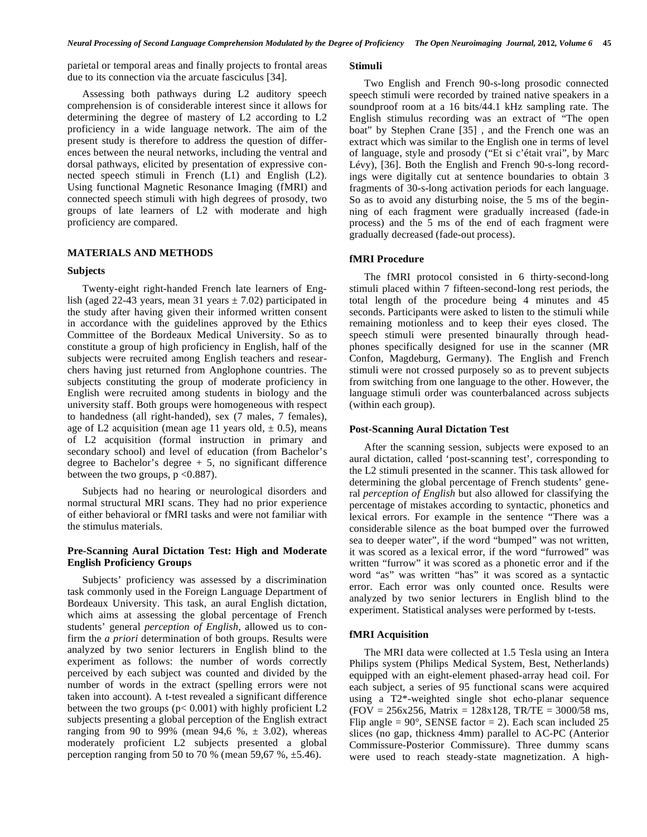parietal or temporal areas and finally projects to frontal areas due to its connection via the arcuate fasciculus [34].

 Assessing both pathways during L2 auditory speech comprehension is of considerable interest since it allows for determining the degree of mastery of L2 according to L2 proficiency in a wide language network. The aim of the present study is therefore to address the question of differences between the neural networks, including the ventral and dorsal pathways, elicited by presentation of expressive connected speech stimuli in French (L1) and English (L2). Using functional Magnetic Resonance Imaging (fMRI) and connected speech stimuli with high degrees of prosody, two groups of late learners of L2 with moderate and high proficiency are compared.

# **MATERIALS AND METHODS**

#### **Subjects**

 Twenty-eight right-handed French late learners of English (aged 22-43 years, mean 31 years  $\pm$  7.02) participated in the study after having given their informed written consent in accordance with the guidelines approved by the Ethics Committee of the Bordeaux Medical University. So as to constitute a group of high proficiency in English, half of the subjects were recruited among English teachers and researchers having just returned from Anglophone countries. The subjects constituting the group of moderate proficiency in English were recruited among students in biology and the university staff. Both groups were homogeneous with respect to handedness (all right-handed), sex (7 males, 7 females), age of L2 acquisition (mean age 11 years old,  $\pm$  0.5), means of L2 acquisition (formal instruction in primary and secondary school) and level of education (from Bachelor's degree to Bachelor's degree  $+5$ , no significant difference between the two groups,  $p < 0.887$ ).

 Subjects had no hearing or neurological disorders and normal structural MRI scans. They had no prior experience of either behavioral or fMRI tasks and were not familiar with the stimulus materials.

# **Pre-Scanning Aural Dictation Test: High and Moderate English Proficiency Groups**

 Subjects' proficiency was assessed by a discrimination task commonly used in the Foreign Language Department of Bordeaux University. This task, an aural English dictation, which aims at assessing the global percentage of French students' general *perception of English*, allowed us to confirm the *a priori* determination of both groups. Results were analyzed by two senior lecturers in English blind to the experiment as follows: the number of words correctly perceived by each subject was counted and divided by the number of words in the extract (spelling errors were not taken into account). A t-test revealed a significant difference between the two groups  $(p< 0.001)$  with highly proficient L2 subjects presenting a global perception of the English extract ranging from 90 to 99% (mean 94,6 %,  $\pm$  3.02), whereas moderately proficient L2 subjects presented a global perception ranging from 50 to 70 % (mean 59,67 %,  $\pm$ 5.46).

# **Stimuli**

 Two English and French 90-s-long prosodic connected speech stimuli were recorded by trained native speakers in a soundproof room at a 16 bits/44.1 kHz sampling rate. The English stimulus recording was an extract of "The open boat" by Stephen Crane [35] , and the French one was an extract which was similar to the English one in terms of level of language, style and prosody ("Et si c'était vrai", by Marc Lévy), [36]. Both the English and French 90-s-long recordings were digitally cut at sentence boundaries to obtain 3 fragments of 30-s-long activation periods for each language. So as to avoid any disturbing noise, the 5 ms of the beginning of each fragment were gradually increased (fade-in process) and the 5 ms of the end of each fragment were gradually decreased (fade-out process).

### **fMRI Procedure**

 The fMRI protocol consisted in 6 thirty-second-long stimuli placed within 7 fifteen-second-long rest periods, the total length of the procedure being 4 minutes and 45 seconds. Participants were asked to listen to the stimuli while remaining motionless and to keep their eyes closed. The speech stimuli were presented binaurally through headphones specifically designed for use in the scanner (MR Confon, Magdeburg, Germany). The English and French stimuli were not crossed purposely so as to prevent subjects from switching from one language to the other. However, the language stimuli order was counterbalanced across subjects (within each group).

### **Post-Scanning Aural Dictation Test**

 After the scanning session, subjects were exposed to an aural dictation, called 'post-scanning test', corresponding to the L2 stimuli presented in the scanner. This task allowed for determining the global percentage of French students' general *perception of English* but also allowed for classifying the percentage of mistakes according to syntactic, phonetics and lexical errors. For example in the sentence "There was a considerable silence as the boat bumped over the furrowed sea to deeper water", if the word "bumped" was not written, it was scored as a lexical error, if the word "furrowed" was written "furrow" it was scored as a phonetic error and if the word "as" was written "has" it was scored as a syntactic error. Each error was only counted once. Results were analyzed by two senior lecturers in English blind to the experiment. Statistical analyses were performed by t-tests.

# **fMRI Acquisition**

 The MRI data were collected at 1.5 Tesla using an Intera Philips system (Philips Medical System, Best, Netherlands) equipped with an eight-element phased-array head coil. For each subject, a series of 95 functional scans were acquired using a T2\*-weighted single shot echo-planar sequence  $(FOV = 256x256,$  Matrix = 128x128, TR/TE = 3000/58 ms, Flip angle =  $90^{\circ}$ , SENSE factor = 2). Each scan included 25 slices (no gap, thickness 4mm) parallel to AC-PC (Anterior Commissure-Posterior Commissure). Three dummy scans were used to reach steady-state magnetization. A high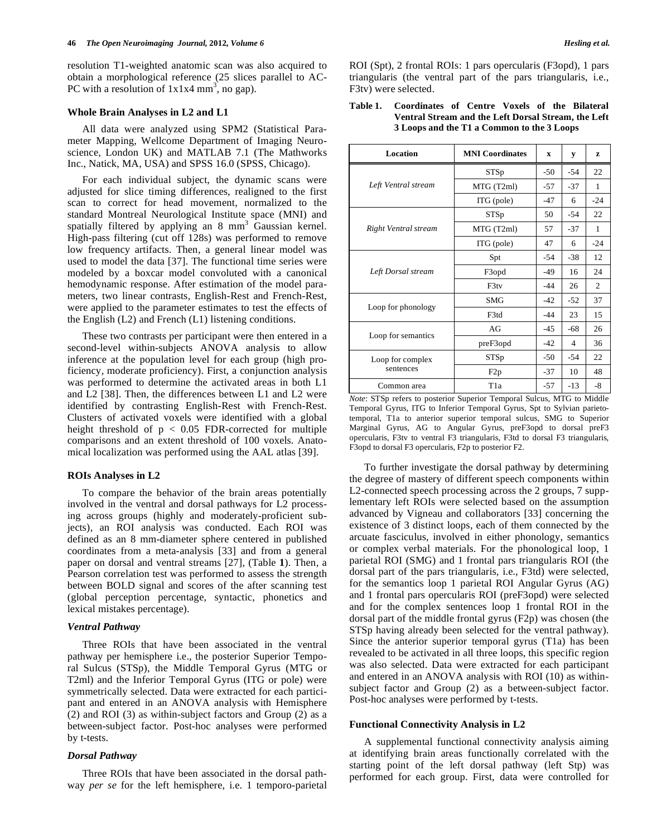resolution T1-weighted anatomic scan was also acquired to obtain a morphological reference (25 slices parallel to AC-PC with a resolution of  $1x1x4$  mm<sup>3</sup>, no gap).

#### **Whole Brain Analyses in L2 and L1**

 All data were analyzed using SPM2 (Statistical Parameter Mapping, Wellcome Department of Imaging Neuroscience, London UK) and MATLAB 7.1 (The Mathworks Inc., Natick, MA, USA) and SPSS 16.0 (SPSS, Chicago).

 For each individual subject, the dynamic scans were adjusted for slice timing differences, realigned to the first scan to correct for head movement, normalized to the standard Montreal Neurological Institute space (MNI) and spatially filtered by applying an  $8 \text{ mm}^3$  Gaussian kernel. High-pass filtering (cut off 128s) was performed to remove low frequency artifacts. Then, a general linear model was used to model the data [37]. The functional time series were modeled by a boxcar model convoluted with a canonical hemodynamic response. After estimation of the model parameters, two linear contrasts, English-Rest and French-Rest, were applied to the parameter estimates to test the effects of the English (L2) and French (L1) listening conditions.

 These two contrasts per participant were then entered in a second-level within-subjects ANOVA analysis to allow inference at the population level for each group (high proficiency, moderate proficiency). First, a conjunction analysis was performed to determine the activated areas in both L1 and L2 [38]. Then, the differences between L1 and L2 were identified by contrasting English-Rest with French-Rest. Clusters of activated voxels were identified with a global height threshold of  $p < 0.05$  FDR-corrected for multiple comparisons and an extent threshold of 100 voxels. Anatomical localization was performed using the AAL atlas [39].

### **ROIs Analyses in L2**

 To compare the behavior of the brain areas potentially involved in the ventral and dorsal pathways for L2 processing across groups (highly and moderately-proficient subjects), an ROI analysis was conducted. Each ROI was defined as an 8 mm-diameter sphere centered in published coordinates from a meta-analysis [33] and from a general paper on dorsal and ventral streams [27], (Table **1**). Then, a Pearson correlation test was performed to assess the strength between BOLD signal and scores of the after scanning test (global perception percentage, syntactic, phonetics and lexical mistakes percentage).

# *Ventral Pathway*

 Three ROIs that have been associated in the ventral pathway per hemisphere i.e., the posterior Superior Temporal Sulcus (STSp), the Middle Temporal Gyrus (MTG or T2ml) and the Inferior Temporal Gyrus (ITG or pole) were symmetrically selected. Data were extracted for each participant and entered in an ANOVA analysis with Hemisphere (2) and ROI (3) as within-subject factors and Group (2) as a between-subject factor. Post-hoc analyses were performed by t-tests.

# *Dorsal Pathway*

 Three ROIs that have been associated in the dorsal pathway *per se* for the left hemisphere, i.e. 1 temporo-parietal ROI (Spt), 2 frontal ROIs: 1 pars opercularis (F3opd), 1 pars triangularis (the ventral part of the pars triangularis, i.e., F3tv) were selected.

### **Table 1. Coordinates of Centre Voxels of the Bilateral Ventral Stream and the Left Dorsal Stream, the Left 3 Loops and the T1 a Common to the 3 Loops**

| Location             | <b>MNI</b> Coordinates | X     | у     | Z     |
|----------------------|------------------------|-------|-------|-------|
|                      | <b>STSp</b>            | $-50$ | $-54$ | 22    |
| Left Ventral stream  | MTG (T2ml)             | $-57$ | $-37$ | 1     |
|                      | ITG (pole)             | -47   | 6     | $-24$ |
|                      | <b>STSp</b>            | 50    | $-54$ | 22    |
| Right Ventral stream | MTG (T2ml)             | 57    | $-37$ | 1     |
|                      | ITG (pole)             | 47    | 6     | $-24$ |
|                      | Spt                    | $-54$ | $-38$ | 12    |
| Left Dorsal stream   | F <sub>3</sub> opd     | -49   | 16    | 24    |
|                      | F3ty                   | $-44$ | 26    | 2     |
|                      | <b>SMG</b>             | $-42$ | $-52$ | 37    |
| Loop for phonology   | F3td                   | $-44$ | 23    | 15    |
|                      | AG                     | -45   | -68   | 26    |
| Loop for semantics   | preF3opd               | $-42$ | 4     | 36    |
| Loop for complex     | STSp                   | $-50$ | $-54$ | 22    |
| sentences            | F2p                    | $-37$ | 10    | 48    |
| Common area          | T <sub>1</sub> a       | $-57$ | $-13$ | -8    |

*Note*: STSp refers to posterior Superior Temporal Sulcus, MTG to Middle Temporal Gyrus, ITG to Inferior Temporal Gyrus, Spt to Sylvian parietotemporal, T1a to anterior superior temporal sulcus, SMG to Superior Marginal Gyrus, AG to Angular Gyrus, preF3opd to dorsal preF3 opercularis, F3tv to ventral F3 triangularis, F3td to dorsal F3 triangularis, F3opd to dorsal F3 opercularis, F2p to posterior F2.

 To further investigate the dorsal pathway by determining the degree of mastery of different speech components within L2-connected speech processing across the 2 groups, 7 supplementary left ROIs were selected based on the assumption advanced by Vigneau and collaborators [33] concerning the existence of 3 distinct loops, each of them connected by the arcuate fasciculus, involved in either phonology, semantics or complex verbal materials. For the phonological loop, 1 parietal ROI (SMG) and 1 frontal pars triangularis ROI (the dorsal part of the pars triangularis, i.e., F3td) were selected, for the semantics loop 1 parietal ROI Angular Gyrus (AG) and 1 frontal pars opercularis ROI (preF3opd) were selected and for the complex sentences loop 1 frontal ROI in the dorsal part of the middle frontal gyrus (F2p) was chosen (the STSp having already been selected for the ventral pathway). Since the anterior superior temporal gyrus (T1a) has been revealed to be activated in all three loops, this specific region was also selected. Data were extracted for each participant and entered in an ANOVA analysis with ROI (10) as withinsubject factor and Group (2) as a between-subject factor. Post-hoc analyses were performed by t-tests.

#### **Functional Connectivity Analysis in L2**

A supplemental functional connectivity analysis aiming at identifying brain areas functionally correlated with the starting point of the left dorsal pathway (left Stp) was performed for each group. First, data were controlled for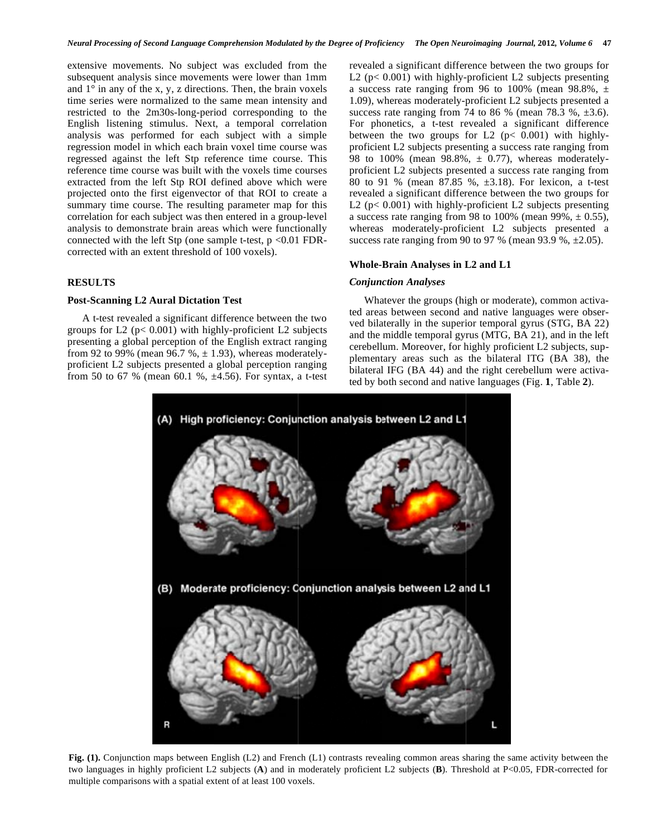extensive movements. No subject was excluded from the subsequent analysis since movements were lower than 1mm and  $1^\circ$  in any of the x, y, z directions. Then, the brain voxels time series were normalized to the same mean intensity and restricted to the 2m30s-long-period corresponding to the English listening stimulus. Next, a temporal correlation analysis was performed for each subject with a simple regression model in which each brain voxel time course was regressed against the left Stp reference time course. This reference time course was built with the voxels time courses extracted from the left Stp ROI defined above which were projected onto the first eigenvector of that ROI to create a summary time course. The resulting parameter map for this correlation for each subject was then entered in a group-level analysis to demonstrate brain areas which were functionally connected with the left Stp (one sample t-test,  $p < 0.01$  FDRcorrected with an extent threshold of 100 voxels).

# **RESULTS**

### **Post-Scanning L2 Aural Dictation Test**

 A t-test revealed a significant difference between the two groups for L2 ( $p$ < 0.001) with highly-proficient L2 subjects presenting a global perception of the English extract ranging from 92 to 99% (mean 96.7 %,  $\pm$  1.93), whereas moderatelyproficient L2 subjects presented a global perception ranging from 50 to 67 % (mean 60.1 %, ±4.56). For syntax, a t-test revealed a significant difference between the two groups for L2 ( $p < 0.001$ ) with highly-proficient L2 subjects presenting a success rate ranging from 96 to 100% (mean 98.8%,  $\pm$ 1.09), whereas moderately-proficient L2 subjects presented a success rate ranging from 74 to 86 % (mean 78.3 %,  $\pm 3.6$ ). For phonetics, a t-test revealed a significant difference between the two groups for L2 ( $p$ < 0.001) with highlyproficient L2 subjects presenting a success rate ranging from 98 to 100% (mean 98.8%,  $\pm$  0.77), whereas moderatelyproficient L2 subjects presented a success rate ranging from 80 to 91 % (mean 87.85 %, ±3.18). For lexicon, a t-test revealed a significant difference between the two groups for L2 ( $p < 0.001$ ) with highly-proficient L2 subjects presenting a success rate ranging from 98 to 100% (mean 99%,  $\pm$  0.55), whereas moderately-proficient L2 subjects presented a success rate ranging from 90 to 97 % (mean 93.9 %,  $\pm 2.05$ ).

#### **Whole-Brain Analyses in L2 and L1**

# *Conjunction Analyses*

Whatever the groups (high or moderate), common activated areas between second and native languages were observed bilaterally in the superior temporal gyrus (STG, BA 22) and the middle temporal gyrus (MTG, BA 21), and in the left cerebellum. Moreover, for highly proficient L2 subjects, supplementary areas such as the bilateral ITG (BA 38), the bilateral IFG (BA 44) and the right cerebellum were activated by both second and native languages (Fig. **1**, Table **2**).



**Fig. (1).** Conjunction maps between English (L2) and French (L1) contrasts revealing common areas sharing the same activity between the two languages in highly proficient L2 subjects (**A**) and in moderately proficient L2 subjects (**B**). Threshold at P<0.05, FDR-corrected for multiple comparisons with a spatial extent of at least 100 voxels.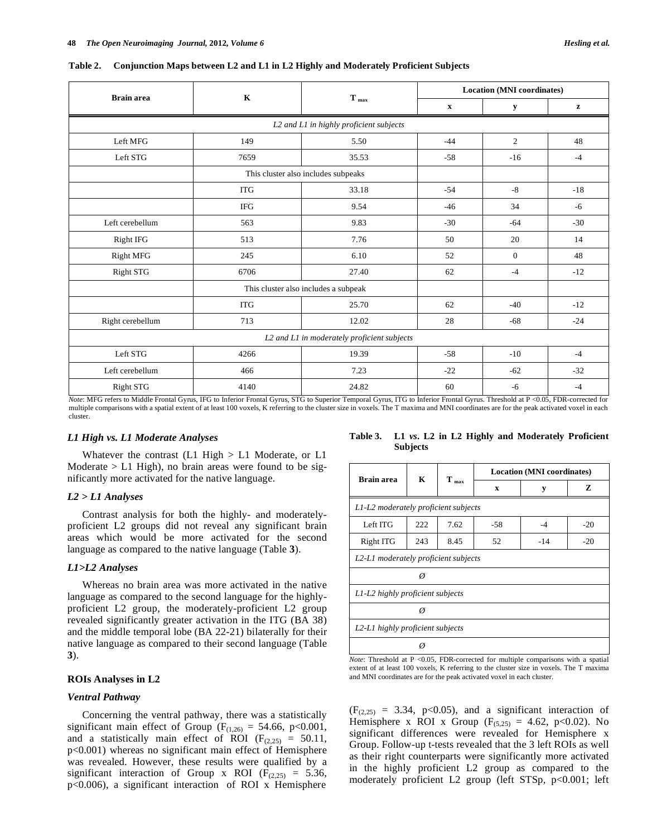| <b>Brain</b> area                           | $\mathbf K$                             | $T_{max}$                            | <b>Location (MNI coordinates)</b> |              |       |
|---------------------------------------------|-----------------------------------------|--------------------------------------|-----------------------------------|--------------|-------|
|                                             |                                         |                                      | $\mathbf X$                       | y            | z     |
|                                             | L2 and L1 in highly proficient subjects |                                      |                                   |              |       |
| Left MFG                                    | 149                                     | 5.50                                 | $-44$                             | 2            | 48    |
| Left STG                                    | 7659                                    | 35.53                                | $-58$                             | $-16$        | $-4$  |
|                                             |                                         | This cluster also includes subpeaks  |                                   |              |       |
|                                             | <b>ITG</b>                              | 33.18                                | $-54$                             | $-8$         | $-18$ |
|                                             | <b>IFG</b>                              | 9.54                                 | $-46$                             | 34           | $-6$  |
| Left cerebellum                             | 563                                     | 9.83                                 | $-30$                             | $-64$        | $-30$ |
| Right IFG                                   | 513                                     | 7.76                                 | 50                                | 20           | 14    |
| <b>Right MFG</b>                            | 245                                     | 6.10                                 | 52                                | $\mathbf{0}$ | 48    |
| Right STG                                   | 6706                                    | 27.40                                | 62                                | $-4$         | $-12$ |
|                                             |                                         | This cluster also includes a subpeak |                                   |              |       |
|                                             | <b>ITG</b>                              | 25.70                                | 62                                | $-40$        | $-12$ |
| Right cerebellum                            | 713                                     | 12.02                                | 28                                | $-68$        | $-24$ |
| L2 and L1 in moderately proficient subjects |                                         |                                      |                                   |              |       |
| Left STG                                    | 4266                                    | 19.39                                | $-58$                             | $-10$        | $-4$  |
| Left cerebellum                             | 466                                     | 7.23                                 | $-22$                             | $-62$        | $-32$ |
| Right STG                                   | 4140                                    | 24.82                                | 60                                | $-6$         | $-4$  |

*Note*: MFG refers to Middle Frontal Gyrus, IFG to Inferior Frontal Gyrus, STG to Superior Temporal Gyrus, ITG to Inferior Frontal Gyrus. Threshold at P <0.05, FDR-corrected for multiple comparisons with a spatial extent of at least 100 voxels, K referring to the cluster size in voxels. The T maxima and MNI coordinates are for the peak activated voxel in each cluster.

#### *L1 High vs. L1 Moderate Analyses*

Whatever the contrast  $(L1 \text{ High} > L1 \text{ Modern})$ Moderate  $> L1$  High), no brain areas were found to be significantly more activated for the native language.

### *L2 > L1 Analyses*

 Contrast analysis for both the highly- and moderatelyproficient L2 groups did not reveal any significant brain areas which would be more activated for the second language as compared to the native language (Table **3**).

#### *L1>L2 Analyses*

 Whereas no brain area was more activated in the native language as compared to the second language for the highlyproficient L2 group, the moderately-proficient L2 group revealed significantly greater activation in the ITG (BA 38) and the middle temporal lobe (BA 22-21) bilaterally for their native language as compared to their second language (Table **3**).

# **ROIs Analyses in L2**

# *Ventral Pathway*

 Concerning the ventral pathway, there was a statistically significant main effect of Group ( $F_{(1,26)} = 54.66$ , p<0.001, and a statistically main effect of ROI ( $F_{(2,25)} = 50.11$ , p<0.001) whereas no significant main effect of Hemisphere was revealed. However, these results were qualified by a significant interaction of Group x ROI ( $F_{(2,25)} = 5.36$ , p<0.006), a significant interaction of ROI x Hemisphere

**Table 3. L1** *vs***. L2 in L2 Highly and Moderately Proficient Subjects** 

| <b>Brain area</b>                    | K                                    | $T_{max}$ | <b>Location (MNI coordinates)</b> |       |       |  |  |
|--------------------------------------|--------------------------------------|-----------|-----------------------------------|-------|-------|--|--|
|                                      |                                      |           | $\mathbf x$                       | y     | Z     |  |  |
|                                      | L1-L2 moderately proficient subjects |           |                                   |       |       |  |  |
| Left ITG                             | 222                                  | 7.62      | -58                               | $-4$  | $-20$ |  |  |
| Right ITG                            | 243                                  | 8.45      | 52                                | $-14$ | $-20$ |  |  |
| L2-L1 moderately proficient subjects |                                      |           |                                   |       |       |  |  |
|                                      |                                      |           |                                   |       |       |  |  |
| L1-L2 highly proficient subjects     |                                      |           |                                   |       |       |  |  |
|                                      |                                      |           |                                   |       |       |  |  |
| L2-L1 highly proficient subjects     |                                      |           |                                   |       |       |  |  |
|                                      |                                      |           |                                   |       |       |  |  |

*Note*: Threshold at P <0.05, FDR-corrected for multiple comparisons with a spatial extent of at least 100 voxels, K referring to the cluster size in voxels. The T maxima and MNI coordinates are for the peak activated voxel in each cluster.

 $(F<sub>(2.25)</sub> = 3.34, p<0.05)$ , and a significant interaction of Hemisphere x ROI x Group ( $F_{(5,25)} = 4.62$ , p<0.02). No significant differences were revealed for Hemisphere x Group. Follow-up t-tests revealed that the 3 left ROIs as well as their right counterparts were significantly more activated in the highly proficient L2 group as compared to the moderately proficient L2 group (left STSp, p<0.001; left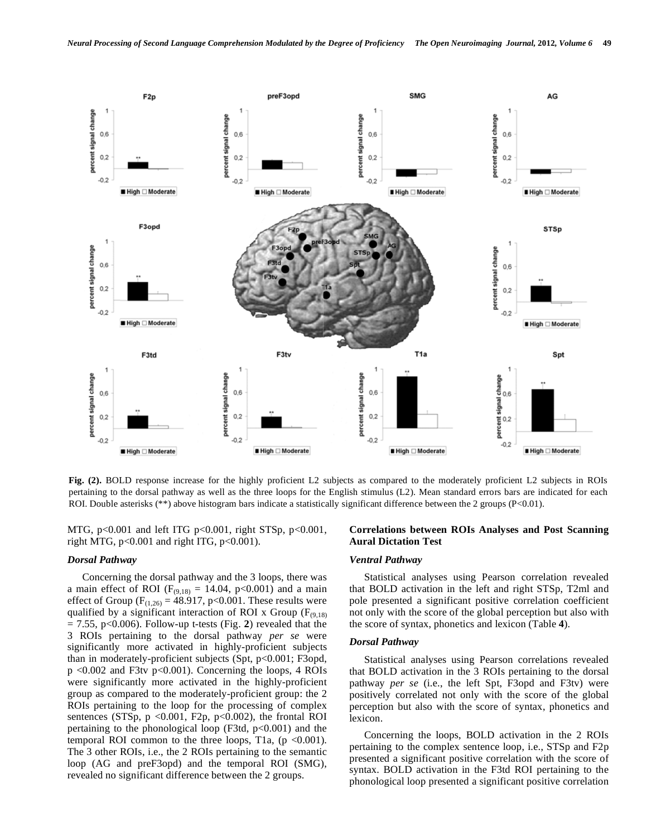

**Fig. (2).** BOLD response increase for the highly proficient L2 subjects as compared to the moderately proficient L2 subjects in ROIs pertaining to the dorsal pathway as well as the three loops for the English stimulus (L2). Mean standard errors bars are indicated for each ROI. Double asterisks (\*\*) above histogram bars indicate a statistically significant difference between the 2 groups (P<0.01).

MTG,  $p<0.001$  and left ITG  $p<0.001$ , right STSp,  $p<0.001$ , right MTG, p<0.001 and right ITG, p<0.001).

### *Dorsal Pathway*

 Concerning the dorsal pathway and the 3 loops, there was a main effect of ROI ( $F_{(9,18)} = 14.04$ , p<0.001) and a main effect of Group ( $F_{(1,26)} = 48.917$ , p<0.001. These results were qualified by a significant interaction of ROI x Group ( $F_{(9,18)}$ )  $= 7.55$ , p $< 0.006$ ). Follow-up t-tests (Fig. 2) revealed that the 3 ROIs pertaining to the dorsal pathway *per se* were significantly more activated in highly-proficient subjects than in moderately-proficient subjects (Spt, p<0.001; F3opd, p <0.002 and F3tv p<0.001). Concerning the loops, 4 ROIs were significantly more activated in the highly-proficient group as compared to the moderately-proficient group: the 2 ROIs pertaining to the loop for the processing of complex sentences (STSp,  $p \le 0.001$ , F2p,  $p \le 0.002$ ), the frontal ROI pertaining to the phonological loop (F3td, p<0.001) and the temporal ROI common to the three loops, T1a,  $(p \le 0.001)$ . The 3 other ROIs, i.e., the 2 ROIs pertaining to the semantic loop (AG and preF3opd) and the temporal ROI (SMG), revealed no significant difference between the 2 groups.

# **Correlations between ROIs Analyses and Post Scanning Aural Dictation Test**

#### *Ventral Pathway*

 Statistical analyses using Pearson correlation revealed that BOLD activation in the left and right STSp, T2ml and pole presented a significant positive correlation coefficient not only with the score of the global perception but also with the score of syntax, phonetics and lexicon (Table **4**).

#### *Dorsal Pathway*

 Statistical analyses using Pearson correlations revealed that BOLD activation in the 3 ROIs pertaining to the dorsal pathway *per se* (i.e., the left Spt, F3opd and F3tv) were positively correlated not only with the score of the global perception but also with the score of syntax, phonetics and lexicon.

 Concerning the loops, BOLD activation in the 2 ROIs pertaining to the complex sentence loop, i.e., STSp and F2p presented a significant positive correlation with the score of syntax. BOLD activation in the F3td ROI pertaining to the phonological loop presented a significant positive correlation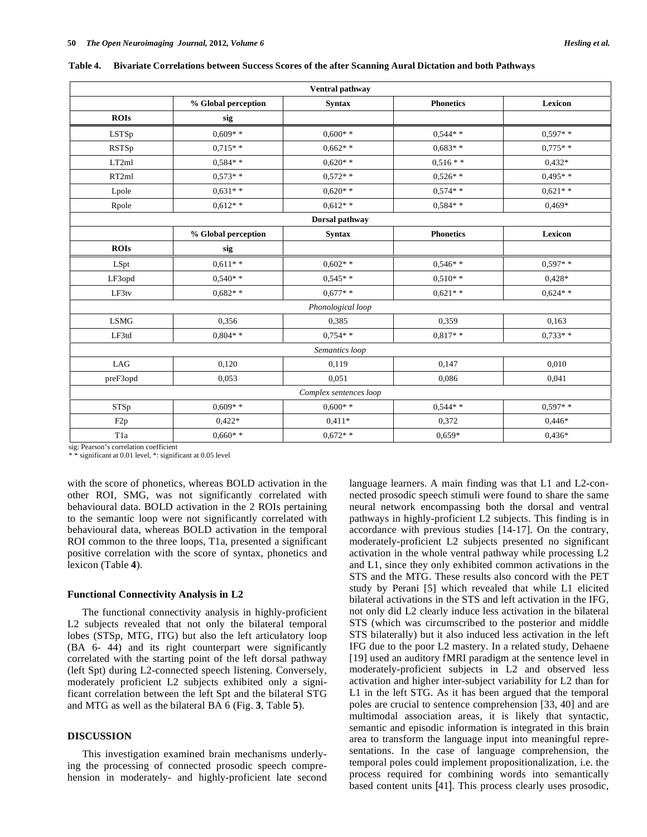| Ventral pathway |                     |               |                  |                |  |
|-----------------|---------------------|---------------|------------------|----------------|--|
|                 | % Global perception | <b>Syntax</b> | <b>Phonetics</b> | <b>Lexicon</b> |  |
| <b>ROIs</b>     | sig                 |               |                  |                |  |
| LSTSp           | $0.609**$           | $0.600**$     | $0.544**$        | $0.597**$      |  |
| RSTSp           | $0.715**$           | $0.662**$     | $0.683**$        | $0.775**$      |  |
| LT2ml           | $0.584**$           | $0.620**$     | $0.516**$        | $0.432*$       |  |
| RT2ml           | $0.573**$           | $0.572**$     | $0.526**$        | $0.495**$      |  |
| Lpole           | $0.631**$           | $0.620**$     | $0.574**$        | $0.621**$      |  |
| Rpole           | $0.612**$           | $0.612**$     | $0.584**$        | $0.469*$       |  |

**Table 4. Bivariate Correlations** 

| <b>RSTSp</b>     | $0.715**$           | $0.662**$              | $0,683**$        | $0.775**$ |
|------------------|---------------------|------------------------|------------------|-----------|
| LT2ml            | $0,584**$           | $0.620**$              | $0.516**$        | $0,432*$  |
| RT2ml            | $0.573**$           | $0.572**$              | $0.526**$        | $0,495**$ |
| Lpole            | $0,631**$           | $0.620**$              | $0.574**$        | $0,621**$ |
| Rpole            | $0,612**$           | $0.612**$              | $0.584**$        | $0,469*$  |
|                  |                     | Dorsal pathway         |                  |           |
|                  | % Global perception | <b>Syntax</b>          | <b>Phonetics</b> | Lexicon   |
| <b>ROIs</b>      | sig                 |                        |                  |           |
| LSpt             | $0.611**$           | $0.602**$              | $0.546**$        | $0,597**$ |
| LF3opd           | $0.540**$           | $0.545**$              | $0.510**$        | $0.428*$  |
| LF3tv            | $0.682**$           | $0.677**$              | $0.621**$        | $0,624**$ |
|                  |                     | Phonological loop      |                  |           |
| <b>LSMG</b>      | 0,356               | 0,385                  | 0,359            | 0,163     |
| LF3td            | $0,804**$           | $0.754**$              | $0.817**$        | $0.733**$ |
|                  |                     | Semantics loop         |                  |           |
| LAG              | 0,120               | 0,119                  | 0,147            | 0,010     |
| preF3opd         | 0,053               | 0,051                  | 0,086            | 0,041     |
|                  |                     | Complex sentences loop |                  |           |
| ${\rm STSp}$     | $0.609**$           | $0,600**$              | $0,544**$        | $0,597**$ |
| F <sub>2p</sub>  | $0,422*$            | $0.411*$               | 0,372            | $0,446*$  |
| T <sub>1</sub> a | $0.660**$           | $0.672**$              | $0.659*$         | $0,436*$  |

sig: Pearson's correlation coefficient

\* significant at 0.01 level, \*: significant at 0.05 level

with the score of phonetics, whereas BOLD activation in the other ROI, SMG, was not significantly correlated with behavioural data. BOLD activation in the 2 ROIs pertaining to the semantic loop were not significantly correlated with behavioural data, whereas BOLD activation in the temporal ROI common to the three loops, T1a, presented a significant positive correlation with the score of syntax, phonetics and lexicon (Table **4**).

### **Functional Connectivity Analysis in L2**

 The functional connectivity analysis in highly-proficient L<sub>2</sub> subjects revealed that not only the bilateral temporal lobes (STSp, MTG, ITG) but also the left articulatory loop (BA 6- 44) and its right counterpart were significantly correlated with the starting point of the left dorsal pathway (left Spt) during L2-connected speech listening. Conversely, moderately proficient L2 subjects exhibited only a significant correlation between the left Spt and the bilateral STG and MTG as well as the bilateral BA 6 (Fig. **3**, Table **5**).

#### **DISCUSSION**

 This investigation examined brain mechanisms underlying the processing of connected prosodic speech comprehension in moderately- and highly-proficient late second language learners. A main finding was that L1 and L2-connected prosodic speech stimuli were found to share the same neural network encompassing both the dorsal and ventral pathways in highly-proficient L2 subjects. This finding is in accordance with previous studies [14-17]. On the contrary, moderately-proficient L2 subjects presented no significant activation in the whole ventral pathway while processing L2 and L1, since they only exhibited common activations in the STS and the MTG. These results also concord with the PET study by Perani [5] which revealed that while L1 elicited bilateral activations in the STS and left activation in the IFG, not only did L2 clearly induce less activation in the bilateral STS (which was circumscribed to the posterior and middle STS bilaterally) but it also induced less activation in the left IFG due to the poor L2 mastery. In a related study, Dehaene [19] used an auditory fMRI paradigm at the sentence level in moderately-proficient subjects in L2 and observed less activation and higher inter-subject variability for L2 than for L1 in the left STG. As it has been argued that the temporal poles are crucial to sentence comprehension [33, 40] and are multimodal association areas, it is likely that syntactic, semantic and episodic information is integrated in this brain area to transform the language input into meaningful representations. In the case of language comprehension, the temporal poles could implement propositionalization, i.e. the process required for combining words into semantically based content units [41]. This process clearly uses prosodic,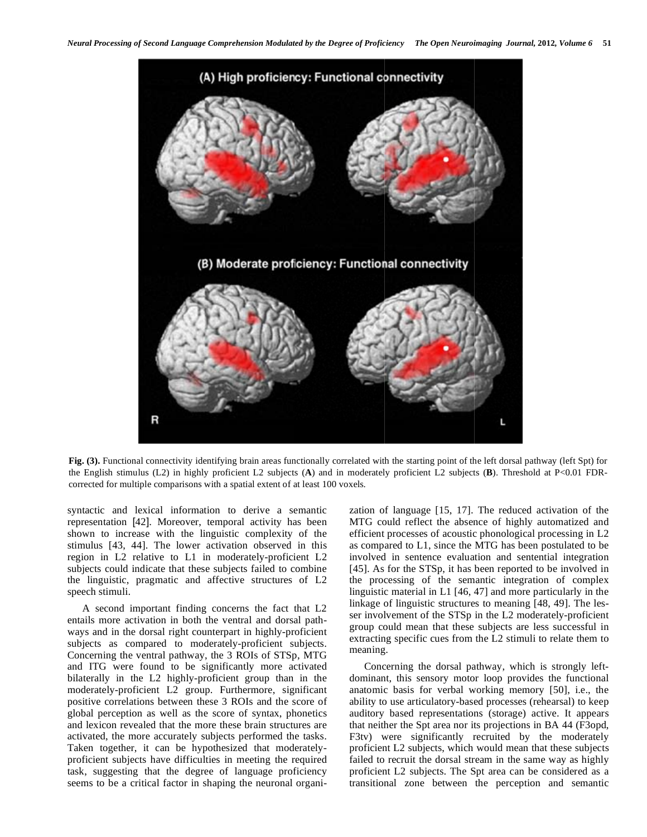

Fig. (3). Functional connectivity identifying brain areas functionally correlated with the starting point of the left dorsal pathway (left Spt) for the English stimulus (L2) in highly proficient L2 subjects (**A**) and in moderately proficient L2 subjects (**B**). Threshold at P<0.01 FDRcorrected for multiple comparisons with a spatial extent of at least 100 voxels.

syntactic and lexical information to derive a semantic representation [42]. Moreover, temporal activity has been shown to increase with the linguistic complexity of the stimulus [43, 44]. The lower activation observed in this region in L2 relative to L1 in moderately-proficient L2 subjects could indicate that these subjects failed to combine the linguistic, pragmatic and affective structures of L2 speech stimuli.

 A second important finding concerns the fact that L2 entails more activation in both the ventral and dorsal pathways and in the dorsal right counterpart in highly-proficient subjects as compared to moderately-proficient subjects. Concerning the ventral pathway, the 3 ROIs of STSp, MTG and ITG were found to be significantly more activated bilaterally in the L2 highly-proficient group than in the moderately-proficient L2 group. Furthermore, significant positive correlations between these 3 ROIs and the score of global perception as well as the score of syntax, phonetics and lexicon revealed that the more these brain structures are activated, the more accurately subjects performed the tasks. Taken together, it can be hypothesized that moderatelyproficient subjects have difficulties in meeting the required task, suggesting that the degree of language proficiency seems to be a critical factor in shaping the neuronal organization of language [15, 17]. The reduced activation of the MTG could reflect the absence of highly automatized and efficient processes of acoustic phonological processing in L2 as compared to L1, since the MTG has been postulated to be involved in sentence evaluation and sentential integration [45]. As for the STSp, it has been reported to be involved in the processing of the semantic integration of complex linguistic material in L1 [46, 47] and more particularly in the linkage of linguistic structures to meaning [48, 49]. The lesser involvement of the STSp in the L2 moderately-proficient group could mean that these subjects are less successful in extracting specific cues from the L2 stimuli to relate them to meaning.

 Concerning the dorsal pathway, which is strongly leftdominant, this sensory motor loop provides the functional anatomic basis for verbal working memory [50], i.e., the ability to use articulatory-based processes (rehearsal) to keep auditory based representations (storage) active. It appears that neither the Spt area nor its projections in BA 44 (F3opd, F3tv) were significantly recruited by the moderately proficient L2 subjects, which would mean that these subjects failed to recruit the dorsal stream in the same way as highly proficient L2 subjects. The Spt area can be considered as a transitional zone between the perception and semantic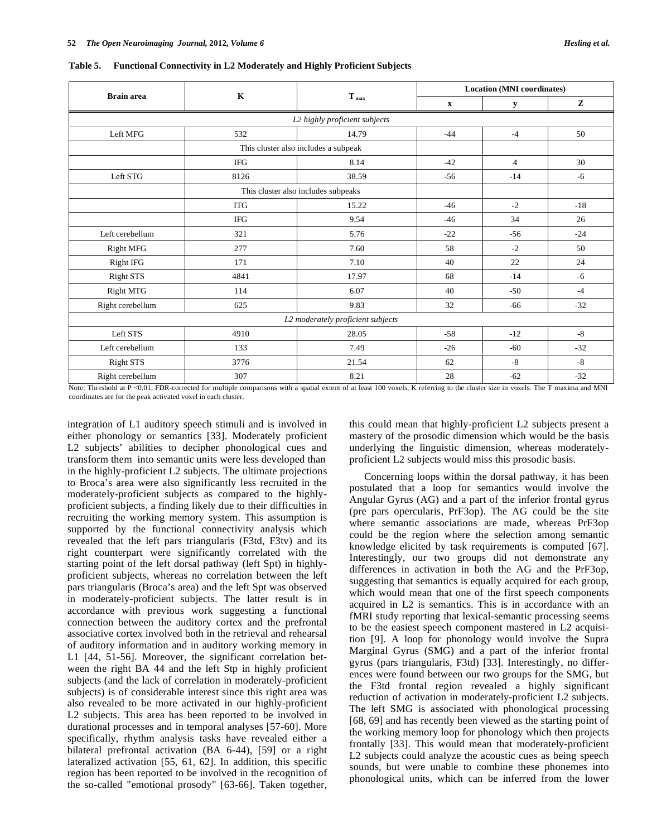| <b>Brain</b> area |             |                                      | <b>Location (MNI coordinates)</b> |                |           |
|-------------------|-------------|--------------------------------------|-----------------------------------|----------------|-----------|
|                   | $\mathbf K$ | $\mathbf{T}_{\text{max}}$            | $\boldsymbol{\mathrm{X}}$         | y              | ${\bf z}$ |
|                   |             | L2 highly proficient subjects        |                                   |                |           |
| Left MFG          | 532         | 14.79                                | $-44$                             | $-4$           | 50        |
|                   |             | This cluster also includes a subpeak |                                   |                |           |
|                   | IFG         | 8.14                                 | $-42$                             | $\overline{4}$ | 30        |
| Left STG          | 8126        | 38.59                                | $-56$                             | $-14$          | $-6$      |
|                   |             | This cluster also includes subpeaks  |                                   |                |           |
|                   | <b>ITG</b>  | 15.22                                | $-46$                             | $-2$           | $-18$     |
|                   | <b>IFG</b>  | 9.54                                 | $-46$                             | 34             | 26        |
| Left cerebellum   | 321         | 5.76                                 | $-22$                             | $-56$          | $-24$     |
| <b>Right MFG</b>  | 277         | 7.60                                 | 58                                | $-2$           | 50        |
| <b>Right IFG</b>  | 171         | 7.10                                 | 40                                | 22             | 24        |
| Right STS         | 4841        | 17.97                                | 68                                | $-14$          | -6        |
| Right MTG         | 114         | 6.07                                 | 40                                | $-50$          | $-4$      |
| Right cerebellum  | 625         | 9.83                                 | 32                                | $-66$          | $-32$     |
|                   |             | L2 moderately proficient subjects    |                                   |                |           |
| Left STS          | 4910        | 28.05                                | $-58$                             | $-12$          | $-8$      |
| Left cerebellum   | 133         | 7.49                                 | $-26$                             | $-60$          | $-32$     |
| <b>Right STS</b>  | 3776        | 21.54                                | 62                                | $-8$           | $-8$      |
| Right cerebellum  | 307         | 8.21                                 | 28                                | $-62$          | $-32$     |

**Table 5. Functional Connectivity in L2 Moderately and Highly Proficient Subjects** 

Note: Threshold at P <0.01, FDR-corrected for multiple comparisons with a spatial extent of at least 100 voxels, K referring to the cluster size in voxels. The T maxima and MNI coordinates are for the peak activated voxel in each cluster.

integration of L1 auditory speech stimuli and is involved in either phonology or semantics [33]. Moderately proficient L2 subjects' abilities to decipher phonological cues and transform them into semantic units were less developed than in the highly-proficient L2 subjects. The ultimate projections to Broca's area were also significantly less recruited in the moderately-proficient subjects as compared to the highlyproficient subjects, a finding likely due to their difficulties in recruiting the working memory system. This assumption is supported by the functional connectivity analysis which revealed that the left pars triangularis (F3td, F3tv) and its right counterpart were significantly correlated with the starting point of the left dorsal pathway (left Spt) in highlyproficient subjects, whereas no correlation between the left pars triangularis (Broca's area) and the left Spt was observed in moderately-proficient subjects. The latter result is in accordance with previous work suggesting a functional connection between the auditory cortex and the prefrontal associative cortex involved both in the retrieval and rehearsal of auditory information and in auditory working memory in L1 [44, 51-56]. Moreover, the significant correlation between the right BA 44 and the left Stp in highly proficient subjects (and the lack of correlation in moderately-proficient subjects) is of considerable interest since this right area was also revealed to be more activated in our highly-proficient L2 subjects. This area has been reported to be involved in durational processes and in temporal analyses [57-60]. More specifically, rhythm analysis tasks have revealed either a bilateral prefrontal activation (BA 6-44), [59] or a right lateralized activation [55, 61, 62]. In addition, this specific region has been reported to be involved in the recognition of the so-called "emotional prosody" [63-66]. Taken together,

this could mean that highly-proficient L2 subjects present a mastery of the prosodic dimension which would be the basis underlying the linguistic dimension, whereas moderatelyproficient L2 subjects would miss this prosodic basis.

 Concerning loops within the dorsal pathway, it has been postulated that a loop for semantics would involve the Angular Gyrus (AG) and a part of the inferior frontal gyrus (pre pars opercularis, PrF3op). The AG could be the site where semantic associations are made, whereas PrF3op could be the region where the selection among semantic knowledge elicited by task requirements is computed [67]. Interestingly, our two groups did not demonstrate any differences in activation in both the AG and the PrF3op, suggesting that semantics is equally acquired for each group, which would mean that one of the first speech components acquired in L2 is semantics. This is in accordance with an fMRI study reporting that lexical-semantic processing seems to be the easiest speech component mastered in L2 acquisition [9]. A loop for phonology would involve the Supra Marginal Gyrus (SMG) and a part of the inferior frontal gyrus (pars triangularis, F3td) [33]. Interestingly, no differences were found between our two groups for the SMG, but the F3td frontal region revealed a highly significant reduction of activation in moderately-proficient L2 subjects. The left SMG is associated with phonological processing [68, 69] and has recently been viewed as the starting point of the working memory loop for phonology which then projects frontally [33]. This would mean that moderately-proficient L2 subjects could analyze the acoustic cues as being speech sounds, but were unable to combine these phonemes into phonological units, which can be inferred from the lower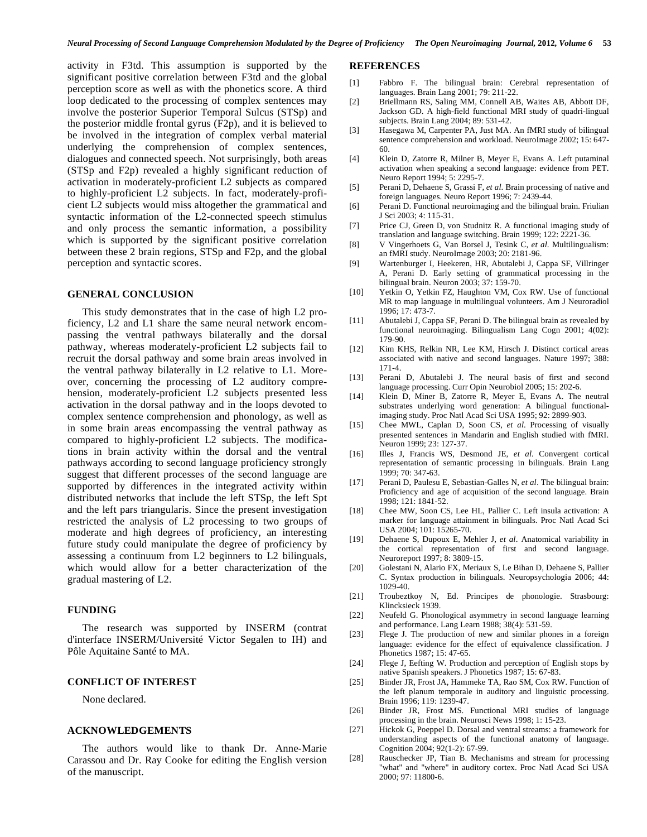activity in F3td. This assumption is supported by the significant positive correlation between F3td and the global perception score as well as with the phonetics score. A third loop dedicated to the processing of complex sentences may involve the posterior Superior Temporal Sulcus (STSp) and the posterior middle frontal gyrus (F2p), and it is believed to be involved in the integration of complex verbal material underlying the comprehension of complex sentences, dialogues and connected speech. Not surprisingly, both areas (STSp and F2p) revealed a highly significant reduction of activation in moderately-proficient L2 subjects as compared to highly-proficient L2 subjects. In fact, moderately-proficient L2 subjects would miss altogether the grammatical and syntactic information of the L2-connected speech stimulus and only process the semantic information, a possibility which is supported by the significant positive correlation between these 2 brain regions, STSp and F2p, and the global perception and syntactic scores.

### **GENERAL CONCLUSION**

 This study demonstrates that in the case of high L2 proficiency, L2 and L1 share the same neural network encompassing the ventral pathways bilaterally and the dorsal pathway, whereas moderately-proficient L2 subjects fail to recruit the dorsal pathway and some brain areas involved in the ventral pathway bilaterally in L2 relative to L1. Moreover, concerning the processing of L2 auditory comprehension, moderately-proficient L2 subjects presented less activation in the dorsal pathway and in the loops devoted to complex sentence comprehension and phonology, as well as in some brain areas encompassing the ventral pathway as compared to highly-proficient L2 subjects. The modifications in brain activity within the dorsal and the ventral pathways according to second language proficiency strongly suggest that different processes of the second language are supported by differences in the integrated activity within distributed networks that include the left STSp, the left Spt and the left pars triangularis. Since the present investigation restricted the analysis of L2 processing to two groups of moderate and high degrees of proficiency, an interesting future study could manipulate the degree of proficiency by assessing a continuum from L2 beginners to L2 bilinguals, which would allow for a better characterization of the gradual mastering of L2.

# **FUNDING**

 The research was supported by INSERM (contrat d'interface INSERM/Université Victor Segalen to IH) and Pôle Aquitaine Santé to MA.

# **CONFLICT OF INTEREST**

None declared.

### **ACKNOWLEDGEMENTS**

 The authors would like to thank Dr. Anne-Marie Carassou and Dr. Ray Cooke for editing the English version of the manuscript.

### **REFERENCES**

- [1] Fabbro F. The bilingual brain: Cerebral representation of languages. Brain Lang 2001; 79: 211-22.
- [2] Briellmann RS, Saling MM, Connell AB, Waites AB, Abbott DF, Jackson GD. A high-field functional MRI study of quadri-lingual subjects. Brain Lang 2004; 89: 531-42.
- [3] Hasegawa M, Carpenter PA, Just MA. An fMRI study of bilingual sentence comprehension and workload. NeuroImage 2002; 15: 647- 60.
- [4] Klein D, Zatorre R, Milner B, Meyer E, Evans A. Left putaminal activation when speaking a second language: evidence from PET. Neuro Report 1994; 5: 2295-7.
- [5] Perani D, Dehaene S, Grassi F, *et al*. Brain processing of native and foreign languages. Neuro Report 1996; 7: 2439-44.
- [6] Perani D. Functional neuroimaging and the bilingual brain. Friulian J Sci 2003; 4: 115-31.
- [7] Price CJ, Green D, von Studnitz R. A functional imaging study of translation and language switching. Brain 1999; 122: 2221-36.
- [8] V Vingerhoets G, Van Borsel J, Tesink C, *et al*. Multilingualism: an fMRI study. NeuroImage 2003; 20: 2181-96.
- [9] Wartenburger I, Heekeren, HR, Abutalebi J, Cappa SF, Villringer A, Perani D. Early setting of grammatical processing in the bilingual brain. Neuron 2003; 37: 159-70.
- [10] Yetkin O, Yetkin FZ, Haughton VM, Cox RW. Use of functional MR to map language in multilingual volunteers. Am J Neuroradiol 1996; 17: 473-7.
- [11] Abutalebi J, Cappa SF, Perani D. The bilingual brain as revealed by functional neuroimaging. Bilingualism Lang Cogn 2001; 4(02): 179-90.
- [12] Kim KHS, Relkin NR, Lee KM, Hirsch J. Distinct cortical areas associated with native and second languages. Nature 1997; 388: 171-4.
- [13] Perani D, Abutalebi J. The neural basis of first and second language processing. Curr Opin Neurobiol 2005; 15: 202-6.
- [14] Klein D, Miner B, Zatorre R, Meyer E, Evans A. The neutral substrates underlying word generation: A bilingual functionalimaging study. Proc Natl Acad Sci USA 1995; 92: 2899-903.
- [15] Chee MWL, Caplan D, Soon CS, *et al*. Processing of visually presented sentences in Mandarin and English studied with fMRI. Neuron 1999; 23: 127-37.
- [16] Illes J, Francis WS, Desmond JE, *et al*. Convergent cortical representation of semantic processing in bilinguals. Brain Lang 1999; 70: 347-63.
- [17] Perani D, Paulesu E, Sebastian-Galles N, *et al*. The bilingual brain: Proficiency and age of acquisition of the second language. Brain 1998; 121: 1841-52.
- [18] Chee MW, Soon CS, Lee HL, Pallier C. Left insula activation: A marker for language attainment in bilinguals. Proc Natl Acad Sci USA 2004; 101: 15265-70.
- [19] Dehaene S, Dupoux E, Mehler J, *et al*. Anatomical variability in the cortical representation of first and second language. Neuroreport 1997; 8: 3809-15.
- [20] Golestani N, Alario FX, Meriaux S, Le Bihan D, Dehaene S, Pallier C. Syntax production in bilinguals. Neuropsychologia 2006; 44: 1029-40.
- [21] Troubeztkoy N, Ed. Principes de phonologie. Strasbourg: Klincksieck 1939.
- [22] Neufeld G. Phonological asymmetry in second language learning and performance. Lang Learn 1988; 38(4): 531-59.
- [23] Flege J. The production of new and similar phones in a foreign language: evidence for the effect of equivalence classification. J Phonetics 1987; 15: 47-65.
- [24] Flege J, Eefting W. Production and perception of English stops by native Spanish speakers. J Phonetics 1987; 15: 67-83.
- [25] Binder JR, Frost JA, Hammeke TA, Rao SM, Cox RW. Function of the left planum temporale in auditory and linguistic processing. Brain 1996; 119: 1239-47.
- [26] Binder JR, Frost MS. Functional MRI studies of language processing in the brain. Neurosci News 1998; 1: 15-23.
- [27] Hickok G, Poeppel D. Dorsal and ventral streams: a framework for understanding aspects of the functional anatomy of language. Cognition 2004; 92(1-2): 67-99.
- [28] Rauschecker JP, Tian B. Mechanisms and stream for processing "what" and "where" in auditory cortex. Proc Natl Acad Sci USA 2000; 97: 11800-6.